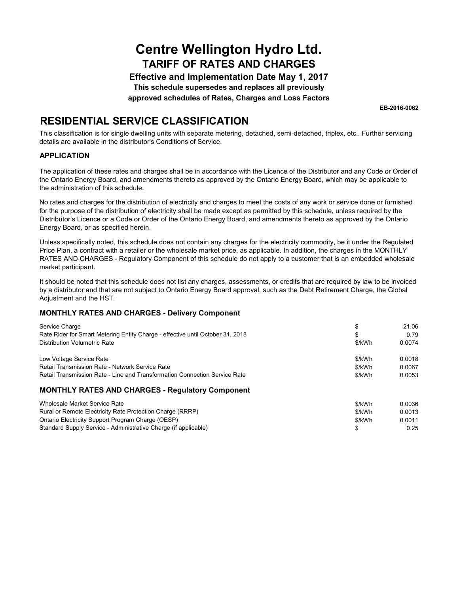**Effective and Implementation Date May 1, 2017 This schedule supersedes and replaces all previously**

**approved schedules of Rates, Charges and Loss Factors**

**EB-2016-0062**

\$ 0.25

### **RESIDENTIAL SERVICE CLASSIFICATION**

This classification is for single dwelling units with separate metering, detached, semi-detached, triplex, etc.. Further servicing details are available in the distributor's Conditions of Service.

#### **APPLICATION**

The application of these rates and charges shall be in accordance with the Licence of the Distributor and any Code or Order of the Ontario Energy Board, and amendments thereto as approved by the Ontario Energy Board, which may be applicable to the administration of this schedule.

No rates and charges for the distribution of electricity and charges to meet the costs of any work or service done or furnished for the purpose of the distribution of electricity shall be made except as permitted by this schedule, unless required by the Distributor's Licence or a Code or Order of the Ontario Energy Board, and amendments thereto as approved by the Ontario Energy Board, or as specified herein.

Unless specifically noted, this schedule does not contain any charges for the electricity commodity, be it under the Regulated Price Plan, a contract with a retailer or the wholesale market price, as applicable. In addition, the charges in the MONTHLY RATES AND CHARGES - Regulatory Component of this schedule do not apply to a customer that is an embedded wholesale market participant.

It should be noted that this schedule does not list any charges, assessments, or credits that are required by law to be invoiced by a distributor and that are not subject to Ontario Energy Board approval, such as the Debt Retirement Charge, the Global Adjustment and the HST.

### **MONTHLY RATES AND CHARGES - Delivery Component**

Standard Supply Service - Administrative Charge (if applicable)

| Service Charge                                                                 |        | 21.06  |
|--------------------------------------------------------------------------------|--------|--------|
| Rate Rider for Smart Metering Entity Charge - effective until October 31, 2018 | \$     | 0.79   |
| Distribution Volumetric Rate                                                   | \$/kWh | 0.0074 |
| Low Voltage Service Rate                                                       | \$/kWh | 0.0018 |
| Retail Transmission Rate - Network Service Rate                                | \$/kWh | 0.0067 |
| Retail Transmission Rate - Line and Transformation Connection Service Rate     | \$/kWh | 0.0053 |
| <b>MONTHLY RATES AND CHARGES - Regulatory Component</b>                        |        |        |
| Wholesale Market Service Rate                                                  | \$/kWh | 0.0036 |
| Rural or Remote Electricity Rate Protection Charge (RRRP)                      | \$/kWh | 0.0013 |
| Ontario Electricity Support Program Charge (OESP)                              | \$/kWh | 0.0011 |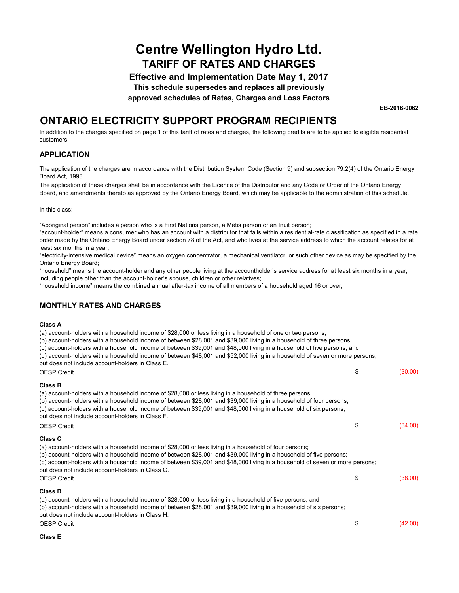**Effective and Implementation Date May 1, 2017**

**This schedule supersedes and replaces all previously**

**approved schedules of Rates, Charges and Loss Factors**

**EB-2016-0062**

### **ONTARIO ELECTRICITY SUPPORT PROGRAM RECIPIENTS**

In addition to the charges specified on page 1 of this tariff of rates and charges, the following credits are to be applied to eligible residential customers.

### **APPLICATION**

The application of the charges are in accordance with the Distribution System Code (Section 9) and subsection 79.2(4) of the Ontario Energy Board Act, 1998.

The application of these charges shall be in accordance with the Licence of the Distributor and any Code or Order of the Ontario Energy Board, and amendments thereto as approved by the Ontario Energy Board, which may be applicable to the administration of this schedule.

In this class:

"Aboriginal person" includes a person who is a First Nations person, a Métis person or an Inuit person;

"account-holder" means a consumer who has an account with a distributor that falls within a residential-rate classification as specified in a rate order made by the Ontario Energy Board under section 78 of the Act, and who lives at the service address to which the account relates for at least six months in a year;

"electricity-intensive medical device" means an oxygen concentrator, a mechanical ventilator, or such other device as may be specified by the Ontario Energy Board;

"household" means the account-holder and any other people living at the accountholder's service address for at least six months in a year, including people other than the account-holder's spouse, children or other relatives;

"household income" means the combined annual after-tax income of all members of a household aged 16 or over;

### **MONTHLY RATES AND CHARGES**

#### **Class A**

(a) account-holders with a household income of \$28,000 or less living in a household of one or two persons;

- (b) account-holders with a household income of between \$28,001 and \$39,000 living in a household of three persons;
- (c) account-holders with a household income of between \$39,001 and \$48,000 living in a household of five persons; and

|  |   |  |  |  | (d) account-holders with a household income of between \$48,001 and \$52,000 living in a household of seven or more persons; |
|--|---|--|--|--|------------------------------------------------------------------------------------------------------------------------------|
|  | . |  |  |  |                                                                                                                              |

but does not include account-holders in Class E.

| <b>OESP Credit</b>                                                                                                                                                                                                                                                                                                                                                                                                | \$ | (30.00) |
|-------------------------------------------------------------------------------------------------------------------------------------------------------------------------------------------------------------------------------------------------------------------------------------------------------------------------------------------------------------------------------------------------------------------|----|---------|
| Class B                                                                                                                                                                                                                                                                                                                                                                                                           |    |         |
| (a) account-holders with a household income of \$28,000 or less living in a household of three persons;<br>(b) account-holders with a household income of between \$28,001 and \$39,000 living in a household of four persons;<br>(c) account-holders with a household income of between \$39,001 and \$48,000 living in a household of six persons;<br>but does not include account-holders in Class F.          |    |         |
| <b>OESP Credit</b>                                                                                                                                                                                                                                                                                                                                                                                                | \$ | (34.00) |
| Class C                                                                                                                                                                                                                                                                                                                                                                                                           |    |         |
| (a) account-holders with a household income of \$28,000 or less living in a household of four persons;<br>(b) account-holders with a household income of between \$28,001 and \$39,000 living in a household of five persons;<br>(c) account-holders with a household income of between \$39,001 and \$48,000 living in a household of seven or more persons;<br>but does not include account-holders in Class G. |    |         |
| <b>OESP Credit</b>                                                                                                                                                                                                                                                                                                                                                                                                |    | (38.00) |
| <b>Class D</b>                                                                                                                                                                                                                                                                                                                                                                                                    |    |         |
| (a) account-holders with a household income of \$28,000 or less living in a household of five persons; and<br>(b) account-holders with a household income of between \$28,001 and \$39,000 living in a household of six persons;<br>but does not include account-holders in Class H.                                                                                                                              |    |         |
| <b>OESP Credit</b>                                                                                                                                                                                                                                                                                                                                                                                                | S  | (42.00) |

#### **Class E**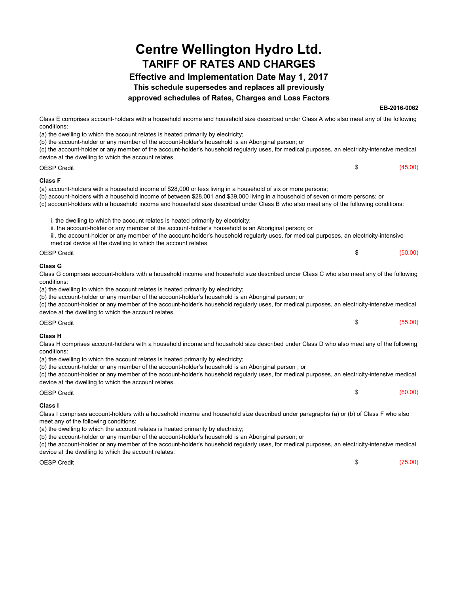### **Effective and Implementation Date May 1, 2017**

**This schedule supersedes and replaces all previously**

#### **approved schedules of Rates, Charges and Loss Factors**

**EB-2016-0062**

| Class E comprises account-holders with a household income and household size described under Class A who also meet any of the following<br>conditions:                                                                                              |               |
|-----------------------------------------------------------------------------------------------------------------------------------------------------------------------------------------------------------------------------------------------------|---------------|
| (a) the dwelling to which the account relates is heated primarily by electricity;                                                                                                                                                                   |               |
| (b) the account-holder or any member of the account-holder's household is an Aboriginal person; or                                                                                                                                                  |               |
| (c) the account-holder or any member of the account-holder's household regularly uses, for medical purposes, an electricity-intensive medical<br>device at the dwelling to which the account relates.                                               |               |
| <b>OESP Credit</b>                                                                                                                                                                                                                                  | \$<br>(45.00) |
| <b>Class F</b>                                                                                                                                                                                                                                      |               |
| (a) account-holders with a household income of \$28,000 or less living in a household of six or more persons;                                                                                                                                       |               |
| (b) account-holders with a household income of between \$28,001 and \$39,000 living in a household of seven or more persons; or                                                                                                                     |               |
| (c) account-holders with a household income and household size described under Class B who also meet any of the following conditions:                                                                                                               |               |
| i. the dwelling to which the account relates is heated primarily by electricity;                                                                                                                                                                    |               |
| ii. the account-holder or any member of the account-holder's household is an Aboriginal person; or                                                                                                                                                  |               |
| iii. the account-holder or any member of the account-holder's household regularly uses, for medical purposes, an electricity-intensive                                                                                                              |               |
| medical device at the dwelling to which the account relates                                                                                                                                                                                         |               |
| <b>OESP Credit</b>                                                                                                                                                                                                                                  | \$<br>(50.00) |
| <b>Class G</b>                                                                                                                                                                                                                                      |               |
| Class G comprises account-holders with a household income and household size described under Class C who also meet any of the following                                                                                                             |               |
| conditions:                                                                                                                                                                                                                                         |               |
| (a) the dwelling to which the account relates is heated primarily by electricity;                                                                                                                                                                   |               |
| (b) the account-holder or any member of the account-holder's household is an Aboriginal person; or<br>(c) the account-holder or any member of the account-holder's household regularly uses, for medical purposes, an electricity-intensive medical |               |
| device at the dwelling to which the account relates.                                                                                                                                                                                                |               |
|                                                                                                                                                                                                                                                     |               |
| <b>OESP Credit</b>                                                                                                                                                                                                                                  | \$<br>(55.00) |
| <b>Class H</b>                                                                                                                                                                                                                                      |               |
| Class H comprises account-holders with a household income and household size described under Class D who also meet any of the following                                                                                                             |               |
| conditions:                                                                                                                                                                                                                                         |               |
| (a) the dwelling to which the account relates is heated primarily by electricity;                                                                                                                                                                   |               |
| (b) the account-holder or any member of the account-holder's household is an Aboriginal person; or<br>(c) the account-holder or any member of the account-holder's household regularly uses, for medical purposes, an electricity-intensive medical |               |
| device at the dwelling to which the account relates.                                                                                                                                                                                                |               |
| <b>OESP Credit</b>                                                                                                                                                                                                                                  | \$<br>(60.00) |
|                                                                                                                                                                                                                                                     |               |
| Class I                                                                                                                                                                                                                                             |               |
| Class I comprises account-holders with a household income and household size described under paragraphs (a) or (b) of Class F who also<br>meet any of the following conditions:                                                                     |               |
| (a) the dwelling to which the account relates is heated primarily by electricity;                                                                                                                                                                   |               |
| (b) the account-holder or any member of the account-holder's household is an Aboriginal person; or                                                                                                                                                  |               |

(c) the account-holder or any member of the account-holder's household regularly uses, for medical purposes, an electricity-intensive medical device at the dwelling to which the account relates.

 $\text{OESP Credit} \quad \text{(75.00)}$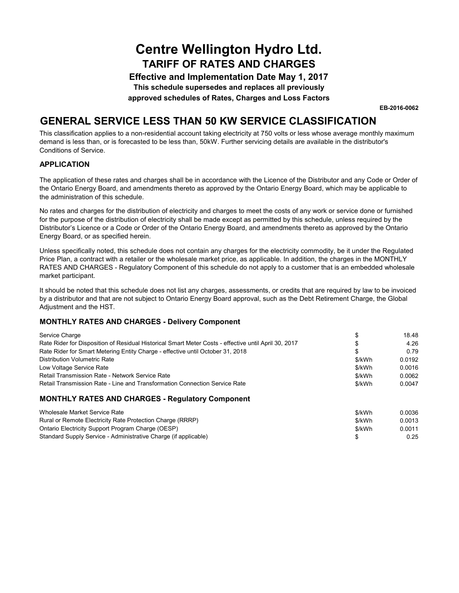**Effective and Implementation Date May 1, 2017**

**This schedule supersedes and replaces all previously**

**approved schedules of Rates, Charges and Loss Factors**

**EB-2016-0062**

### **GENERAL SERVICE LESS THAN 50 KW SERVICE CLASSIFICATION**

This classification applies to a non-residential account taking electricity at 750 volts or less whose average monthly maximum demand is less than, or is forecasted to be less than, 50kW. Further servicing details are available in the distributor's Conditions of Service.

### **APPLICATION**

The application of these rates and charges shall be in accordance with the Licence of the Distributor and any Code or Order of the Ontario Energy Board, and amendments thereto as approved by the Ontario Energy Board, which may be applicable to the administration of this schedule.

No rates and charges for the distribution of electricity and charges to meet the costs of any work or service done or furnished for the purpose of the distribution of electricity shall be made except as permitted by this schedule, unless required by the Distributor's Licence or a Code or Order of the Ontario Energy Board, and amendments thereto as approved by the Ontario Energy Board, or as specified herein.

Unless specifically noted, this schedule does not contain any charges for the electricity commodity, be it under the Regulated Price Plan, a contract with a retailer or the wholesale market price, as applicable. In addition, the charges in the MONTHLY RATES AND CHARGES - Regulatory Component of this schedule do not apply to a customer that is an embedded wholesale market participant.

It should be noted that this schedule does not list any charges, assessments, or credits that are required by law to be invoiced by a distributor and that are not subject to Ontario Energy Board approval, such as the Debt Retirement Charge, the Global Adjustment and the HST.

#### **MONTHLY RATES AND CHARGES - Delivery Component**

| Service Charge                                                                                       |        | 18.48  |  |
|------------------------------------------------------------------------------------------------------|--------|--------|--|
| Rate Rider for Disposition of Residual Historical Smart Meter Costs - effective until April 30, 2017 |        | 4.26   |  |
| Rate Rider for Smart Metering Entity Charge - effective until October 31, 2018                       |        | 0.79   |  |
| <b>Distribution Volumetric Rate</b>                                                                  | \$/kWh | 0.0192 |  |
| Low Voltage Service Rate                                                                             | \$/kWh | 0.0016 |  |
| Retail Transmission Rate - Network Service Rate                                                      | \$/kWh | 0.0062 |  |
| Retail Transmission Rate - Line and Transformation Connection Service Rate                           | \$/kWh | 0.0047 |  |
|                                                                                                      |        |        |  |

#### **MONTHLY RATES AND CHARGES - Regulatory Component**

| Wholesale Market Service Rate                                   | \$/kWh | 0.0036 |
|-----------------------------------------------------------------|--------|--------|
| Rural or Remote Electricity Rate Protection Charge (RRRP)       | \$/kWh | 0.0013 |
| Ontario Electricity Support Program Charge (OESP)               | \$/kWh | 0.0011 |
| Standard Supply Service - Administrative Charge (if applicable) |        | 0.25   |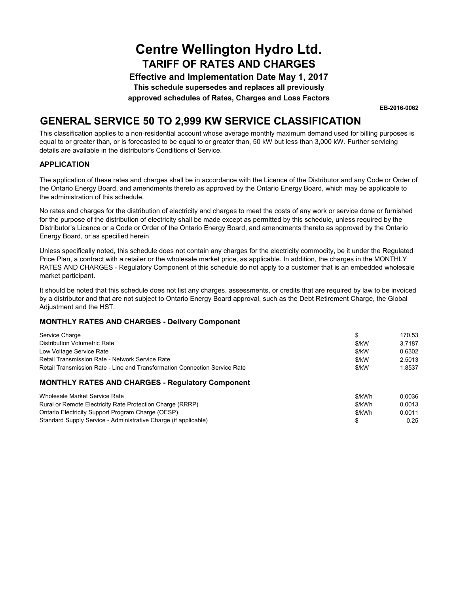**Effective and Implementation Date May 1, 2017**

**This schedule supersedes and replaces all previously**

**approved schedules of Rates, Charges and Loss Factors**

**EB-2016-0062**

### **GENERAL SERVICE 50 TO 2,999 KW SERVICE CLASSIFICATION**

This classification applies to a non-residential account whose average monthly maximum demand used for billing purposes is equal to or greater than, or is forecasted to be equal to or greater than, 50 kW but less than 3,000 kW. Further servicing details are available in the distributor's Conditions of Service.

#### **APPLICATION**

The application of these rates and charges shall be in accordance with the Licence of the Distributor and any Code or Order of the Ontario Energy Board, and amendments thereto as approved by the Ontario Energy Board, which may be applicable to the administration of this schedule.

No rates and charges for the distribution of electricity and charges to meet the costs of any work or service done or furnished for the purpose of the distribution of electricity shall be made except as permitted by this schedule, unless required by the Distributor's Licence or a Code or Order of the Ontario Energy Board, and amendments thereto as approved by the Ontario Energy Board, or as specified herein.

Unless specifically noted, this schedule does not contain any charges for the electricity commodity, be it under the Regulated Price Plan, a contract with a retailer or the wholesale market price, as applicable. In addition, the charges in the MONTHLY RATES AND CHARGES - Regulatory Component of this schedule do not apply to a customer that is an embedded wholesale market participant.

It should be noted that this schedule does not list any charges, assessments, or credits that are required by law to be invoiced by a distributor and that are not subject to Ontario Energy Board approval, such as the Debt Retirement Charge, the Global Adjustment and the HST.

| Service Charge                                                             | \$      | 170.53 |
|----------------------------------------------------------------------------|---------|--------|
| Distribution Volumetric Rate                                               | $$$ /kW | 3.7187 |
| Low Voltage Service Rate                                                   | $$$ /kW | 0.6302 |
| Retail Transmission Rate - Network Service Rate                            | \$/kW   | 2.5013 |
| Retail Transmission Rate - Line and Transformation Connection Service Rate | $$$ /kW | 1.8537 |
| <b>MONTHLY RATES AND CHARGES - Regulatory Component</b>                    |         |        |
| Wholesale Market Service Rate                                              | \$/kWh  | 0.0036 |
| Rural or Remote Electricity Rate Protection Charge (RRRP)                  | \$/kWh  | 0.0013 |
| Ontario Electricity Support Program Charge (OESP)                          | \$/kWh  | 0.0011 |
| Standard Supply Service - Administrative Charge (if applicable)            |         | 0.25   |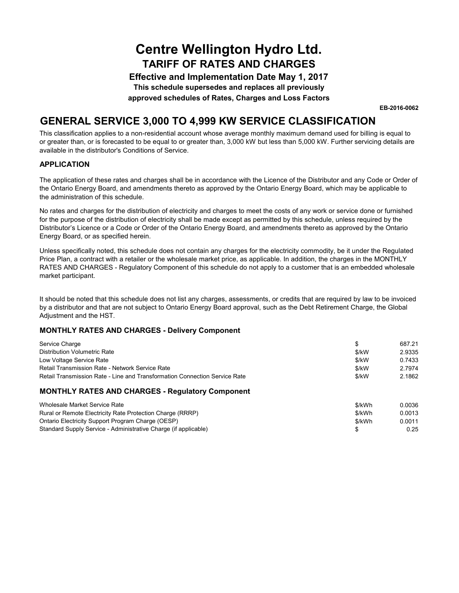**Effective and Implementation Date May 1, 2017**

**This schedule supersedes and replaces all previously**

**approved schedules of Rates, Charges and Loss Factors**

**EB-2016-0062**

### **GENERAL SERVICE 3,000 TO 4,999 KW SERVICE CLASSIFICATION**

This classification applies to a non-residential account whose average monthly maximum demand used for billing is equal to or greater than, or is forecasted to be equal to or greater than, 3,000 kW but less than 5,000 kW. Further servicing details are available in the distributor's Conditions of Service.

#### **APPLICATION**

The application of these rates and charges shall be in accordance with the Licence of the Distributor and any Code or Order of the Ontario Energy Board, and amendments thereto as approved by the Ontario Energy Board, which may be applicable to the administration of this schedule.

No rates and charges for the distribution of electricity and charges to meet the costs of any work or service done or furnished for the purpose of the distribution of electricity shall be made except as permitted by this schedule, unless required by the Distributor's Licence or a Code or Order of the Ontario Energy Board, and amendments thereto as approved by the Ontario Energy Board, or as specified herein.

Unless specifically noted, this schedule does not contain any charges for the electricity commodity, be it under the Regulated Price Plan, a contract with a retailer or the wholesale market price, as applicable. In addition, the charges in the MONTHLY RATES AND CHARGES - Regulatory Component of this schedule do not apply to a customer that is an embedded wholesale market participant.

It should be noted that this schedule does not list any charges, assessments, or credits that are required by law to be invoiced by a distributor and that are not subject to Ontario Energy Board approval, such as the Debt Retirement Charge, the Global Adjustment and the HST.

| Service Charge                                                             |         | 687.21 |
|----------------------------------------------------------------------------|---------|--------|
| Distribution Volumetric Rate                                               | \$/kW   | 2.9335 |
| Low Voltage Service Rate                                                   | $$$ /kW | 0.7433 |
| Retail Transmission Rate - Network Service Rate                            | $$$ /kW | 2.7974 |
| Retail Transmission Rate - Line and Transformation Connection Service Rate | $$$ /kW | 2.1862 |
| <b>MONTHLY RATES AND CHARGES - Regulatory Component</b>                    |         |        |
| Wholesale Market Service Rate                                              | \$/kWh  | 0.0036 |
| Rural or Remote Electricity Rate Protection Charge (RRRP)                  | \$/kWh  | 0.0013 |
| Ontario Electricity Support Program Charge (OESP)                          | \$/kWh  | 0.0011 |
| Standard Supply Service - Administrative Charge (if applicable)            |         | 0.25   |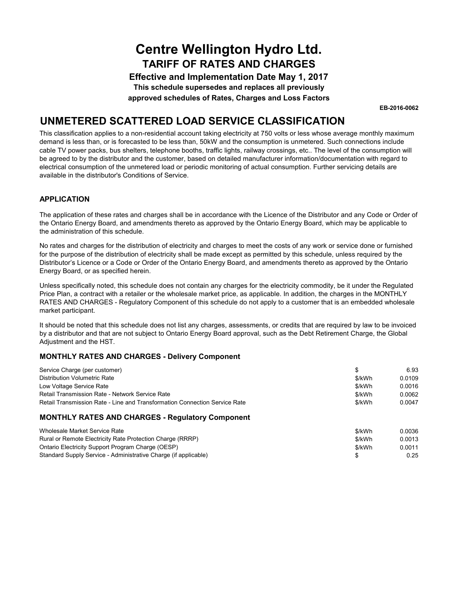**Effective and Implementation Date May 1, 2017 This schedule supersedes and replaces all previously**

**approved schedules of Rates, Charges and Loss Factors**

**EB-2016-0062**

### **UNMETERED SCATTERED LOAD SERVICE CLASSIFICATION**

This classification applies to a non-residential account taking electricity at 750 volts or less whose average monthly maximum demand is less than, or is forecasted to be less than, 50kW and the consumption is unmetered. Such connections include cable TV power packs, bus shelters, telephone booths, traffic lights, railway crossings, etc.. The level of the consumption will be agreed to by the distributor and the customer, based on detailed manufacturer information/documentation with regard to electrical consumption of the unmetered load or periodic monitoring of actual consumption. Further servicing details are available in the distributor's Conditions of Service.

### **APPLICATION**

The application of these rates and charges shall be in accordance with the Licence of the Distributor and any Code or Order of the Ontario Energy Board, and amendments thereto as approved by the Ontario Energy Board, which may be applicable to the administration of this schedule.

No rates and charges for the distribution of electricity and charges to meet the costs of any work or service done or furnished for the purpose of the distribution of electricity shall be made except as permitted by this schedule, unless required by the Distributor's Licence or a Code or Order of the Ontario Energy Board, and amendments thereto as approved by the Ontario Energy Board, or as specified herein.

Unless specifically noted, this schedule does not contain any charges for the electricity commodity, be it under the Regulated Price Plan, a contract with a retailer or the wholesale market price, as applicable. In addition, the charges in the MONTHLY RATES AND CHARGES - Regulatory Component of this schedule do not apply to a customer that is an embedded wholesale market participant.

It should be noted that this schedule does not list any charges, assessments, or credits that are required by law to be invoiced by a distributor and that are not subject to Ontario Energy Board approval, such as the Debt Retirement Charge, the Global Adjustment and the HST.

| Service Charge (per customer)                                              |        | 6.93   |
|----------------------------------------------------------------------------|--------|--------|
| Distribution Volumetric Rate                                               | \$/kWh | 0.0109 |
| Low Voltage Service Rate                                                   | \$/kWh | 0.0016 |
| Retail Transmission Rate - Network Service Rate                            | \$/kWh | 0.0062 |
| Retail Transmission Rate - Line and Transformation Connection Service Rate | \$/kWh | 0.0047 |
| <b>MONTHLY RATES AND CHARGES - Regulatory Component</b>                    |        |        |
| Wholesale Market Service Rate                                              | \$/kWh | 0.0036 |
| Rural or Remote Electricity Rate Protection Charge (RRRP)                  | \$/kWh | 0.0013 |
| Ontario Electricity Support Program Charge (OESP)                          | \$/kWh | 0.0011 |
| Standard Supply Service - Administrative Charge (if applicable)            |        | 0.25   |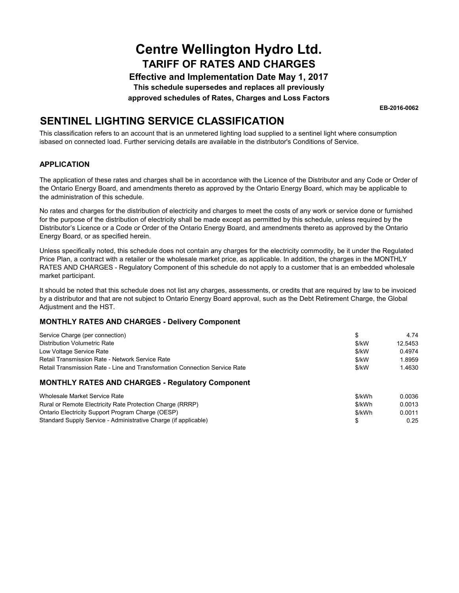**Effective and Implementation Date May 1, 2017 This schedule supersedes and replaces all previously**

**approved schedules of Rates, Charges and Loss Factors**

**EB-2016-0062**

## **SENTINEL LIGHTING SERVICE CLASSIFICATION**

This classification refers to an account that is an unmetered lighting load supplied to a sentinel light where consumption isbased on connected load. Further servicing details are available in the distributor's Conditions of Service.

### **APPLICATION**

The application of these rates and charges shall be in accordance with the Licence of the Distributor and any Code or Order of the Ontario Energy Board, and amendments thereto as approved by the Ontario Energy Board, which may be applicable to the administration of this schedule.

No rates and charges for the distribution of electricity and charges to meet the costs of any work or service done or furnished for the purpose of the distribution of electricity shall be made except as permitted by this schedule, unless required by the Distributor's Licence or a Code or Order of the Ontario Energy Board, and amendments thereto as approved by the Ontario Energy Board, or as specified herein.

Unless specifically noted, this schedule does not contain any charges for the electricity commodity, be it under the Regulated Price Plan, a contract with a retailer or the wholesale market price, as applicable. In addition, the charges in the MONTHLY RATES AND CHARGES - Regulatory Component of this schedule do not apply to a customer that is an embedded wholesale market participant.

It should be noted that this schedule does not list any charges, assessments, or credits that are required by law to be invoiced by a distributor and that are not subject to Ontario Energy Board approval, such as the Debt Retirement Charge, the Global Adjustment and the HST.

| Service Charge (per connection)                                            | \$      | 4.74    |  |
|----------------------------------------------------------------------------|---------|---------|--|
| Distribution Volumetric Rate                                               | $$$ /kW | 12.5453 |  |
| Low Voltage Service Rate                                                   | $$$ /kW | 0.4974  |  |
| Retail Transmission Rate - Network Service Rate                            | \$/kW   | 1.8959  |  |
| Retail Transmission Rate - Line and Transformation Connection Service Rate | $$$ /kW | 1.4630  |  |
| <b>MONTHLY RATES AND CHARGES - Regulatory Component</b>                    |         |         |  |
| Wholesale Market Service Rate                                              | \$/kWh  | 0.0036  |  |
| Rural or Remote Electricity Rate Protection Charge (RRRP)                  | \$/kWh  | 0.0013  |  |
| Ontario Electricity Support Program Charge (OESP)                          | \$/kWh  | 0.0011  |  |
| Standard Supply Service - Administrative Charge (if applicable)            |         | 0.25    |  |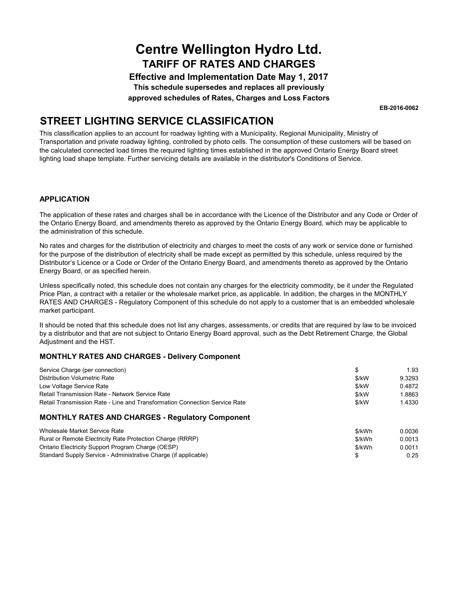**Effective and Implementation Date May 1, 2017 This schedule supersedes and replaces all previously**

**approved schedules of Rates, Charges and Loss Factors**

**EB-2016-0062**

### **STREET LIGHTING SERVICE CLASSIFICATION**

This classification applies to an account for roadway lighting with a Municipality, Regional Municipality, Ministry of Transportation and private roadway lighting, controlled by photo cells. The consumption of these customers will be based on the calculated connected load times the required lighting times established in the approved Ontario Energy Board street lighting load shape template. Further servicing details are available in the distributor's Conditions of Service.

#### **APPLICATION**

The application of these rates and charges shall be in accordance with the Licence of the Distributor and any Code or Order of the Ontario Energy Board, and amendments thereto as approved by the Ontario Energy Board, which may be applicable to the administration of this schedule.

No rates and charges for the distribution of electricity and charges to meet the costs of any work or service done or furnished for the purpose of the distribution of electricity shall be made except as permitted by this schedule, unless required by the Distributor's Licence or a Code or Order of the Ontario Energy Board, and amendments thereto as approved by the Ontario Energy Board, or as specified herein.

Unless specifically noted, this schedule does not contain any charges for the electricity commodity, be it under the Regulated Price Plan, a contract with a retailer or the wholesale market price, as applicable. In addition, the charges in the MONTHLY RATES AND CHARGES - Regulatory Component of this schedule do not apply to a customer that is an embedded wholesale market participant.

It should be noted that this schedule does not list any charges, assessments, or credits that are required by law to be invoiced by a distributor and that are not subject to Ontario Energy Board approval, such as the Debt Retirement Charge, the Global Adjustment and the HST.

| Service Charge (per connection)                                            |         | 1.93   |
|----------------------------------------------------------------------------|---------|--------|
| Distribution Volumetric Rate                                               | \$/kW   | 9.3293 |
| Low Voltage Service Rate                                                   | $$$ /kW | 0.4872 |
| Retail Transmission Rate - Network Service Rate                            | $$$ /kW | 1.8863 |
| Retail Transmission Rate - Line and Transformation Connection Service Rate | \$/kW   | 1.4330 |
| <b>MONTHLY RATES AND CHARGES - Regulatory Component</b>                    |         |        |
| Wholesale Market Service Rate                                              | \$/kWh  | 0.0036 |
| Rural or Remote Electricity Rate Protection Charge (RRRP)                  | \$/kWh  | 0.0013 |
| Ontario Electricity Support Program Charge (OESP)                          | \$/kWh  | 0.0011 |
| Standard Supply Service - Administrative Charge (if applicable)            |         | 0.25   |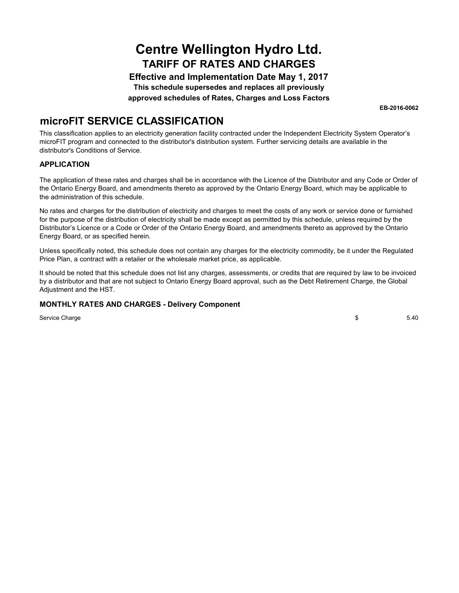**Effective and Implementation Date May 1, 2017 This schedule supersedes and replaces all previously**

**approved schedules of Rates, Charges and Loss Factors**

**EB-2016-0062**

### **microFIT SERVICE CLASSIFICATION**

This classification applies to an electricity generation facility contracted under the Independent Electricity System Operator's microFIT program and connected to the distributor's distribution system. Further servicing details are available in the distributor's Conditions of Service.

#### **APPLICATION**

The application of these rates and charges shall be in accordance with the Licence of the Distributor and any Code or Order of the Ontario Energy Board, and amendments thereto as approved by the Ontario Energy Board, which may be applicable to the administration of this schedule.

No rates and charges for the distribution of electricity and charges to meet the costs of any work or service done or furnished for the purpose of the distribution of electricity shall be made except as permitted by this schedule, unless required by the Distributor's Licence or a Code or Order of the Ontario Energy Board, and amendments thereto as approved by the Ontario Energy Board, or as specified herein.

Unless specifically noted, this schedule does not contain any charges for the electricity commodity, be it under the Regulated Price Plan, a contract with a retailer or the wholesale market price, as applicable.

It should be noted that this schedule does not list any charges, assessments, or credits that are required by law to be invoiced by a distributor and that are not subject to Ontario Energy Board approval, such as the Debt Retirement Charge, the Global Adjustment and the HST.

### **MONTHLY RATES AND CHARGES - Delivery Component**

Service Charge

\$ 5.40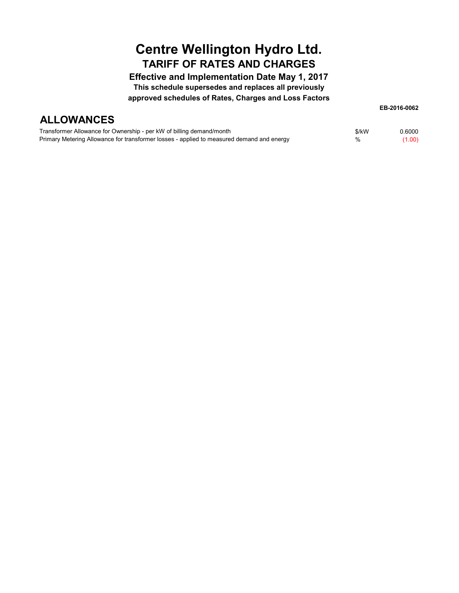**Effective and Implementation Date May 1, 2017 This schedule supersedes and replaces all previously approved schedules of Rates, Charges and Loss Factors**

## **ALLOWANCES**

**EB-2016-0062**

| Transformer Allowance for Ownership - per kW of billing demand/month                      | \$/kW | 0.6000 |
|-------------------------------------------------------------------------------------------|-------|--------|
| Primary Metering Allowance for transformer losses - applied to measured demand and energy | %     | (1.00) |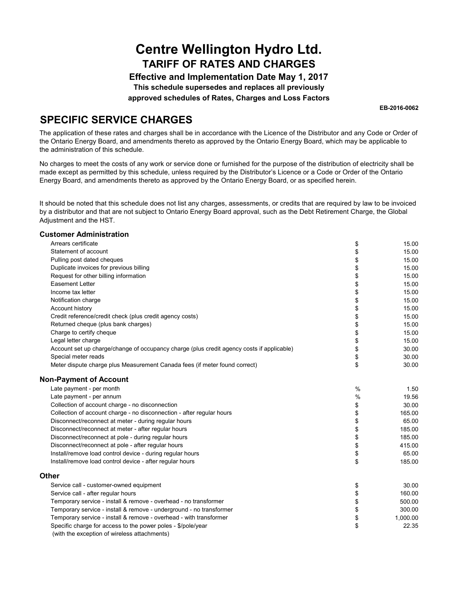**Effective and Implementation Date May 1, 2017 This schedule supersedes and replaces all previously**

**approved schedules of Rates, Charges and Loss Factors**

**EB-2016-0062**

### **SPECIFIC SERVICE CHARGES**

The application of these rates and charges shall be in accordance with the Licence of the Distributor and any Code or Order of the Ontario Energy Board, and amendments thereto as approved by the Ontario Energy Board, which may be applicable to the administration of this schedule.

No charges to meet the costs of any work or service done or furnished for the purpose of the distribution of electricity shall be made except as permitted by this schedule, unless required by the Distributor's Licence or a Code or Order of the Ontario Energy Board, and amendments thereto as approved by the Ontario Energy Board, or as specified herein.

It should be noted that this schedule does not list any charges, assessments, or credits that are required by law to be invoiced by a distributor and that are not subject to Ontario Energy Board approval, such as the Debt Retirement Charge, the Global Adjustment and the HST.

#### **Customer Administration**

| Arrears certificate                                                                       | \$   | 15.00    |  |
|-------------------------------------------------------------------------------------------|------|----------|--|
| Statement of account                                                                      | \$   | 15.00    |  |
| Pulling post dated cheques                                                                | \$   | 15.00    |  |
| Duplicate invoices for previous billing                                                   | \$   | 15.00    |  |
| Request for other billing information                                                     | \$   | 15.00    |  |
| <b>Easement Letter</b>                                                                    | \$   | 15.00    |  |
| Income tax letter                                                                         | \$   | 15.00    |  |
| Notification charge                                                                       | \$   | 15.00    |  |
| Account history                                                                           | \$   | 15.00    |  |
| Credit reference/credit check (plus credit agency costs)                                  | \$   | 15.00    |  |
| Returned cheque (plus bank charges)                                                       | \$   | 15.00    |  |
| Charge to certify cheque                                                                  | \$   | 15.00    |  |
| Legal letter charge                                                                       | \$   | 15.00    |  |
| Account set up charge/change of occupancy charge (plus credit agency costs if applicable) | \$   | 30.00    |  |
| Special meter reads                                                                       | \$   | 30.00    |  |
| Meter dispute charge plus Measurement Canada fees (if meter found correct)                | \$   | 30.00    |  |
| <b>Non-Payment of Account</b>                                                             |      |          |  |
| Late payment - per month                                                                  | $\%$ | 1.50     |  |
| Late payment - per annum                                                                  | $\%$ | 19.56    |  |
| Collection of account charge - no disconnection                                           | \$   | 30.00    |  |
| Collection of account charge - no disconnection - after regular hours                     | \$   | 165.00   |  |
| Disconnect/reconnect at meter - during regular hours                                      | \$   | 65.00    |  |
| Disconnect/reconnect at meter - after regular hours                                       | \$   | 185.00   |  |
| Disconnect/reconnect at pole - during regular hours                                       | \$   | 185.00   |  |
| Disconnect/reconnect at pole - after regular hours                                        | \$   | 415.00   |  |
| Install/remove load control device - during regular hours                                 | \$   | 65.00    |  |
| Install/remove load control device - after regular hours                                  | \$   | 185.00   |  |
| Other                                                                                     |      |          |  |
| Service call - customer-owned equipment                                                   | \$   | 30.00    |  |
| Service call - after regular hours                                                        | \$   | 160.00   |  |
| Temporary service - install & remove - overhead - no transformer                          | \$   | 500.00   |  |
| Temporary service - install & remove - underground - no transformer                       | \$   | 300.00   |  |
| Temporary service - install & remove - overhead - with transformer                        | \$   | 1,000.00 |  |
| Specific charge for access to the power poles - \$/pole/year                              | \$   | 22.35    |  |
| (with the exception of wireless attachments)                                              |      |          |  |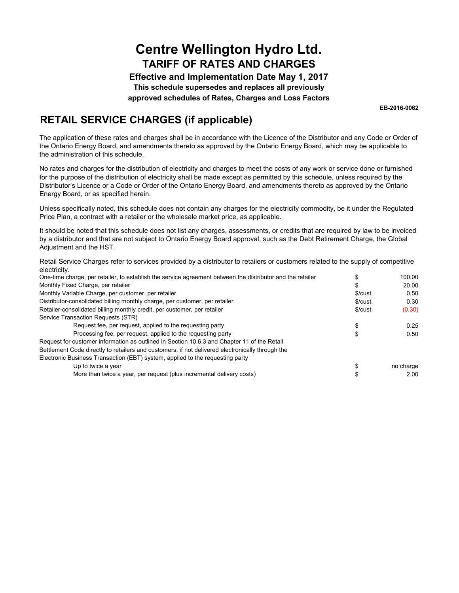**Effective and Implementation Date May 1, 2017 This schedule supersedes and replaces all previously approved schedules of Rates, Charges and Loss Factors**

**EB-2016-0062**

## **RETAIL SERVICE CHARGES (if applicable)**

The application of these rates and charges shall be in accordance with the Licence of the Distributor and any Code or Order of the Ontario Energy Board, and amendments thereto as approved by the Ontario Energy Board, which may be applicable to the administration of this schedule.

No rates and charges for the distribution of electricity and charges to meet the costs of any work or service done or furnished for the purpose of the distribution of electricity shall be made except as permitted by this schedule, unless required by the Distributor's Licence or a Code or Order of the Ontario Energy Board, and amendments thereto as approved by the Ontario Energy Board, or as specified herein.

Unless specifically noted, this schedule does not contain any charges for the electricity commodity, be it under the Regulated Price Plan, a contract with a retailer or the wholesale market price, as applicable.

It should be noted that this schedule does not list any charges, assessments, or credits that are required by law to be invoiced by a distributor and that are not subject to Ontario Energy Board approval, such as the Debt Retirement Charge, the Global Adjustment and the HST.

Retail Service Charges refer to services provided by a distributor to retailers or customers related to the supply of competitive electricity.

| One-time charge, per retailer, to establish the service agreement between the distributor and the retailer |          | 100.00    |  |
|------------------------------------------------------------------------------------------------------------|----------|-----------|--|
| Monthly Fixed Charge, per retailer                                                                         | æ        | 20.00     |  |
| Monthly Variable Charge, per customer, per retailer                                                        | \$/cust. | 0.50      |  |
| Distributor-consolidated billing monthly charge, per customer, per retailer                                | \$/cust. | 0.30      |  |
| Retailer-consolidated billing monthly credit, per customer, per retailer                                   | \$/cust. | (0.30)    |  |
| Service Transaction Requests (STR)                                                                         |          |           |  |
| Request fee, per request, applied to the requesting party                                                  |          | 0.25      |  |
| Processing fee, per request, applied to the requesting party                                               |          | 0.50      |  |
| Request for customer information as outlined in Section 10.6.3 and Chapter 11 of the Retail                |          |           |  |
| Settlement Code directly to retailers and customers, if not delivered electronically through the           |          |           |  |
| Electronic Business Transaction (EBT) system, applied to the requesting party                              |          |           |  |
| Up to twice a year                                                                                         |          | no charge |  |
| More than twice a year, per request (plus incremental delivery costs)                                      |          | 2.00      |  |